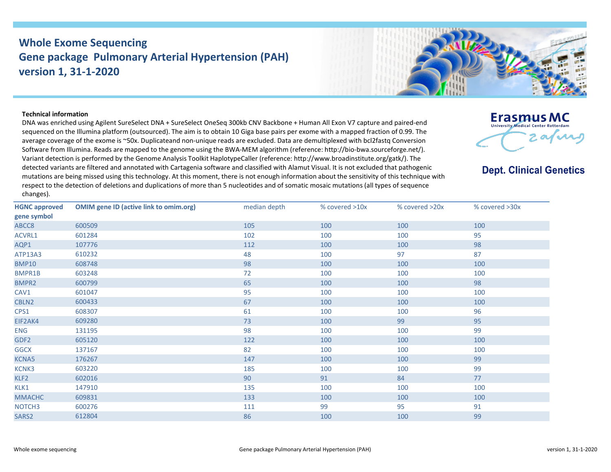## **Whole Exome Sequencing Gene package Pulmonary Arterial Hypertension (PAH) version 1, 31-1-2020**



## **Technical information**

DNA was enriched using Agilent SureSelect DNA + SureSelect OneSeq 300kb CNV Backbone + Human All Exon V7 capture and paired-end sequenced on the Illumina platform (outsourced). The aim is to obtain 10 Giga base pairs per exome with a mapped fraction of 0.99. The average coverage of the exome is ~50x. Duplicateand non-unique reads are excluded. Data are demultiplexed with bcl2fastq Conversion Software from Illumina. Reads are mapped to the genome using the BWA-MEM algorithm (reference: http://bio-bwa.sourceforge.net/). Variant detection is performed by the Genome Analysis Toolkit HaplotypeCaller (reference: http://www.broadinstitute.org/gatk/). The detected variants are filtered and annotated with Cartagenia software and classified with Alamut Visual. It is not excluded that pathogenic mutations are being missed using this technology. At this moment, there is not enough information about the sensitivity of this technique with respect to the detection of deletions and duplications of more than 5 nucleotides and of somatic mosaic mutations (all types of sequence changes).



## **Dept. Clinical Genetics**

| <b>HGNC approved</b><br>gene symbol | <b>OMIM gene ID (active link to omim.org)</b> | median depth | % covered >10x | % covered >20x | % covered >30x |
|-------------------------------------|-----------------------------------------------|--------------|----------------|----------------|----------------|
| ABCC8                               | 600509                                        | 105          | 100            | 100            | 100            |
| ACVRL1                              | 601284                                        | 102          | 100            | 100            | 95             |
| AQP1                                | 107776                                        | 112          | 100            | 100            | 98             |
| ATP13A3                             | 610232                                        | 48           | 100            | 97             | 87             |
| <b>BMP10</b>                        | 608748                                        | 98           | 100            | 100            | 100            |
| BMPR1B                              | 603248                                        | 72           | 100            | 100            | 100            |
| BMPR2                               | 600799                                        | 65           | 100            | 100            | 98             |
| CAV1                                | 601047                                        | 95           | 100            | 100            | 100            |
| CBLN2                               | 600433                                        | 67           | 100            | 100            | 100            |
| CPS1                                | 608307                                        | 61           | 100            | 100            | 96             |
| EIF2AK4                             | 609280                                        | 73           | 100            | 99             | 95             |
| <b>ENG</b>                          | 131195                                        | 98           | 100            | 100            | 99             |
| GDF <sub>2</sub>                    | 605120                                        | 122          | 100            | 100            | 100            |
| <b>GGCX</b>                         | 137167                                        | 82           | 100            | 100            | 100            |
| KCNA5                               | 176267                                        | 147          | 100            | 100            | 99             |
| <b>KCNK3</b>                        | 603220                                        | 185          | 100            | 100            | 99             |
| KLF2                                | 602016                                        | 90           | 91             | 84             | 77             |
| KLK1                                | 147910                                        | 135          | 100            | 100            | 100            |
| <b>MMACHC</b>                       | 609831                                        | 133          | 100            | 100            | 100            |
| NOTCH <sub>3</sub>                  | 600276                                        | 111          | 99             | 95             | 91             |
| SARS2                               | 612804                                        | 86           | 100            | 100            | 99             |